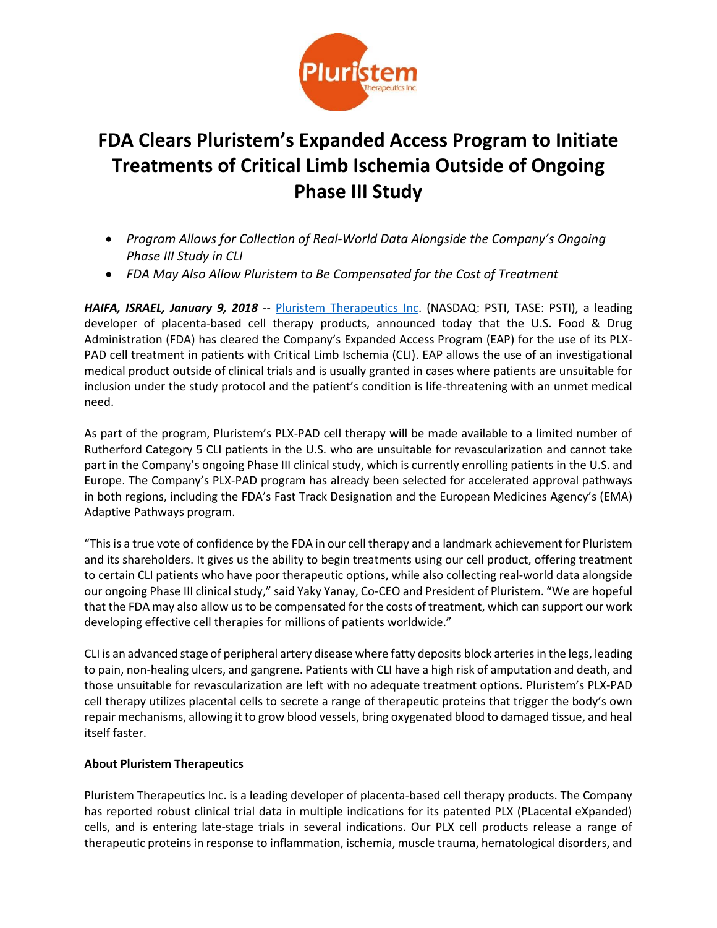

## **FDA Clears Pluristem's Expanded Access Program to Initiate Treatments of Critical Limb Ischemia Outside of Ongoing Phase III Study**

- *Program Allows for Collection of Real-World Data Alongside the Company's Ongoing Phase III Study in CLI*
- *FDA May Also Allow Pluristem to Be Compensated for the Cost of Treatment*

HAIFA, ISRAEL, January 9, 2018 -- [Pluristem Therapeutics Inc.](http://www.pluristem.com/) (NASDAQ: PSTI, TASE: PSTI), a leading developer of placenta-based cell therapy products, announced today that the U.S. Food & Drug Administration (FDA) has cleared the Company's Expanded Access Program (EAP) for the use of its PLX-PAD cell treatment in patients with Critical Limb Ischemia (CLI). EAP allows the use of an investigational medical product outside of clinical trials and is usually granted in cases where patients are unsuitable for inclusion under the study protocol and the patient's condition is life-threatening with an unmet medical need.

As part of the program, Pluristem's PLX-PAD cell therapy will be made available to a limited number of Rutherford Category 5 CLI patients in the U.S. who are unsuitable for revascularization and cannot take part in the Company's ongoing Phase III clinical study, which is currently enrolling patients in the U.S. and Europe. The Company's PLX-PAD program has already been selected for accelerated approval pathways in both regions, including the FDA's Fast Track Designation and the European Medicines Agency's (EMA) Adaptive Pathways program.

"This is a true vote of confidence by the FDA in our cell therapy and a landmark achievement for Pluristem and its shareholders. It gives us the ability to begin treatments using our cell product, offering treatment to certain CLI patients who have poor therapeutic options, while also collecting real-world data alongside our ongoing Phase III clinical study," said Yaky Yanay, Co-CEO and President of Pluristem. "We are hopeful that the FDA may also allow us to be compensated for the costs of treatment, which can support our work developing effective cell therapies for millions of patients worldwide."

CLI is an advanced stage of peripheral artery disease where fatty deposits block arteries in the legs, leading to pain, non-healing ulcers, and gangrene. Patients with CLI have a high risk of amputation and death, and those unsuitable for revascularization are left with no adequate treatment options. Pluristem's PLX-PAD cell therapy utilizes placental cells to secrete a range of therapeutic proteins that trigger the body's own repair mechanisms, allowing it to grow blood vessels, bring oxygenated blood to damaged tissue, and heal itself faster.

## **About Pluristem Therapeutics**

Pluristem Therapeutics Inc. is a leading developer of placenta-based cell therapy products. The Company has reported robust clinical trial data in multiple indications for its patented PLX (PLacental eXpanded) cells, and is entering late-stage trials in several indications. Our PLX cell products release a range of therapeutic proteins in response to inflammation, ischemia, muscle trauma, hematological disorders, and